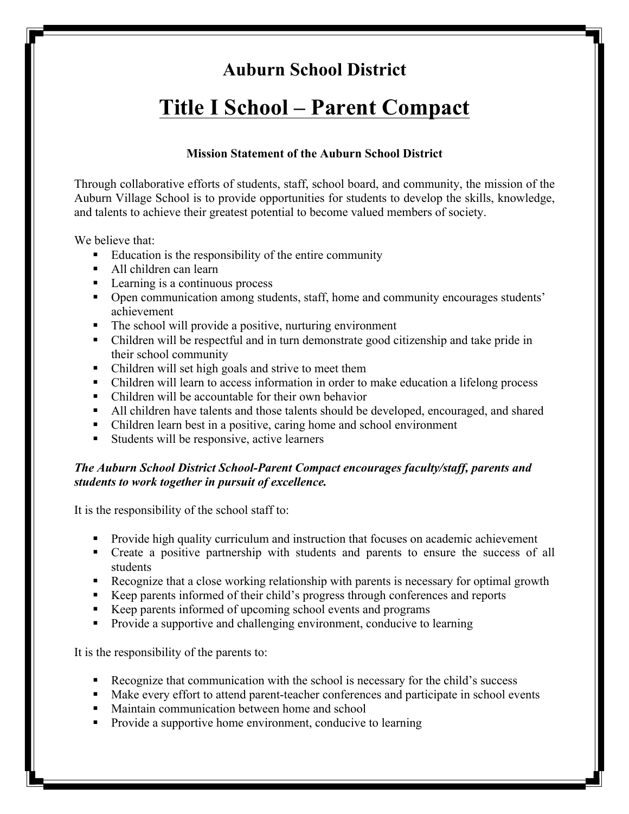### **Auburn School District**

# **Title I School – Parent Compact**

#### **Mission Statement of the Auburn School District**

Through collaborative efforts of students, staff, school board, and community, the mission of the Auburn Village School is to provide opportunities for students to develop the skills, knowledge, and talents to achieve their greatest potential to become valued members of society.

We believe that:

- ! Education is the responsibility of the entire community
- ! All children can learn
- Learning is a continuous process
- Open communication among students, staff, home and community encourages students' achievement
- ! The school will provide a positive, nurturing environment
- ! Children will be respectful and in turn demonstrate good citizenship and take pride in their school community
- Children will set high goals and strive to meet them
- ! Children will learn to access information in order to make education a lifelong process
- ! Children will be accountable for their own behavior
- ! All children have talents and those talents should be developed, encouraged, and shared
- ! Children learn best in a positive, caring home and school environment
- ! Students will be responsive, active learners

#### *The Auburn School District School-Parent Compact encourages faculty/staff, parents and students to work together in pursuit of excellence.*

It is the responsibility of the school staff to:

- ! Provide high quality curriculum and instruction that focuses on academic achievement
- ! Create a positive partnership with students and parents to ensure the success of all students
- ! Recognize that a close working relationship with parents is necessary for optimal growth
- ! Keep parents informed of their child's progress through conferences and reports
- ! Keep parents informed of upcoming school events and programs
- ! Provide a supportive and challenging environment, conducive to learning

It is the responsibility of the parents to:

- ! Recognize that communication with the school is necessary for the child's success
- ! Make every effort to attend parent-teacher conferences and participate in school events
- ! Maintain communication between home and school
- ! Provide a supportive home environment, conducive to learning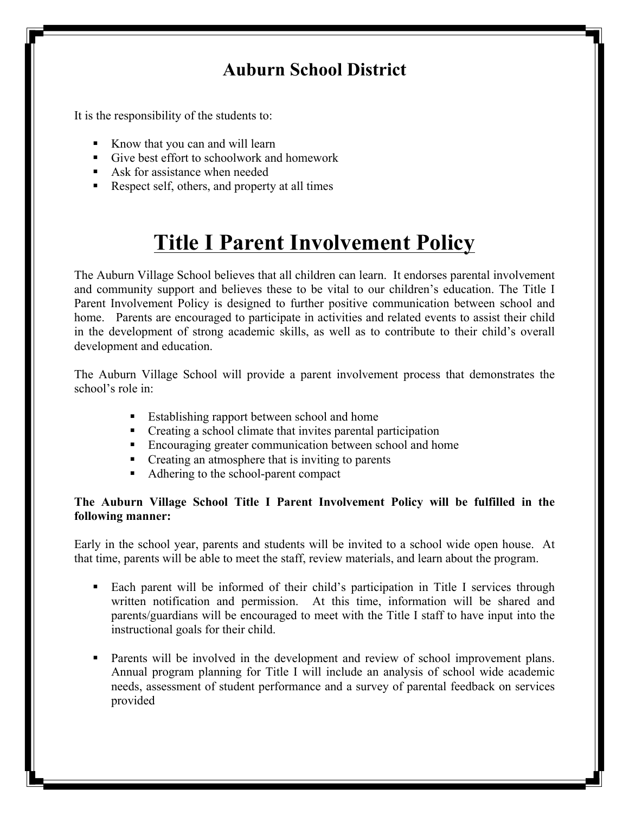### **Auburn School District**

It is the responsibility of the students to:

- ! Know that you can and will learn
- ! Give best effort to schoolwork and homework
- ! Ask for assistance when needed
- ! Respect self, others, and property at all times

## **Title I Parent Involvement Policy**

The Auburn Village School believes that all children can learn. It endorses parental involvement and community support and believes these to be vital to our children's education. The Title I Parent Involvement Policy is designed to further positive communication between school and home. Parents are encouraged to participate in activities and related events to assist their child in the development of strong academic skills, as well as to contribute to their child's overall development and education.

The Auburn Village School will provide a parent involvement process that demonstrates the school's role in:

- ! Establishing rapport between school and home
- ! Creating a school climate that invites parental participation
- ! Encouraging greater communication between school and home
- Creating an atmosphere that is inviting to parents
- ! Adhering to the school-parent compact

#### **The Auburn Village School Title I Parent Involvement Policy will be fulfilled in the following manner:**

Early in the school year, parents and students will be invited to a school wide open house. At that time, parents will be able to meet the staff, review materials, and learn about the program.

- ! Each parent will be informed of their child's participation in Title I services through written notification and permission. At this time, information will be shared and parents/guardians will be encouraged to meet with the Title I staff to have input into the instructional goals for their child.
- ! Parents will be involved in the development and review of school improvement plans. Annual program planning for Title I will include an analysis of school wide academic needs, assessment of student performance and a survey of parental feedback on services provided